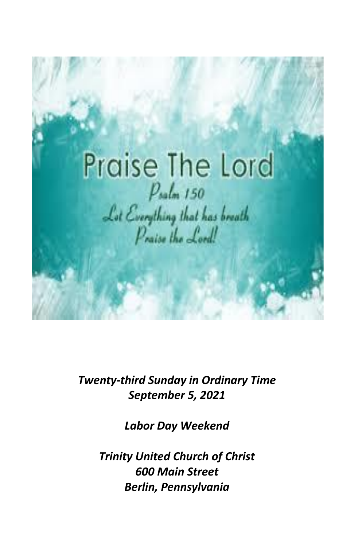

*Twenty-third Sunday in Ordinary Time September 5, 2021*

*Labor Day Weekend*

*Trinity United Church of Christ 600 Main Street Berlin, Pennsylvania*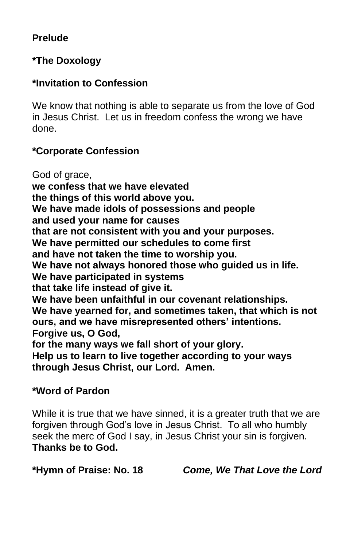# **Prelude**

# **\*The Doxology**

# **\*Invitation to Confession**

We know that nothing is able to separate us from the love of God in Jesus Christ. Let us in freedom confess the wrong we have done.

# **\*Corporate Confession**

God of grace, **we confess that we have elevated the things of this world above you. We have made idols of possessions and people and used your name for causes that are not consistent with you and your purposes. We have permitted our schedules to come first and have not taken the time to worship you. We have not always honored those who guided us in life. We have participated in systems that take life instead of give it. We have been unfaithful in our covenant relationships. We have yearned for, and sometimes taken, that which is not ours, and we have misrepresented others' intentions. Forgive us, O God, for the many ways we fall short of your glory. Help us to learn to live together according to your ways through Jesus Christ, our Lord. Amen.**

# **\*Word of Pardon**

While it is true that we have sinned, it is a greater truth that we are forgiven through God's love in Jesus Christ. To all who humbly seek the merc of God I say, in Jesus Christ your sin is forgiven. **Thanks be to God.**

**\*Hymn of Praise: No. 18** *Come, We That Love the Lord*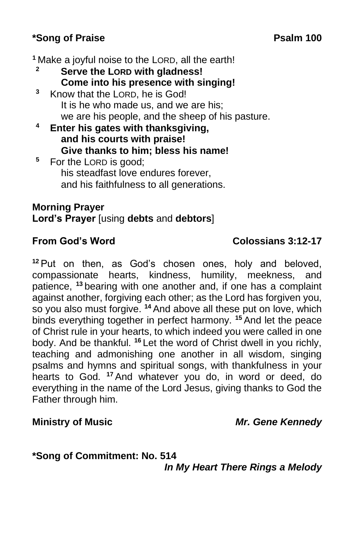# **\*Song of Praise Psalm 100**

**<sup>1</sup>** Make a joyful noise to the LORD, all the earth!

- **<sup>2</sup> Serve the LORD with gladness! Come into his presence with singing!**
- **<sup>3</sup>** Know that the LORD, he is God! It is he who made us, and we are his; we are his people, and the sheep of his pasture.
- **<sup>4</sup> Enter his gates with thanksgiving, and his courts with praise! Give thanks to him; bless his name!**
- **<sup>5</sup>** For the LORD is good; his steadfast love endures forever, and his faithfulness to all generations.

# **Morning Prayer Lord's Prayer** [using **debts** and **debtors**]

# **From God's Word Colossians 3:12-17**

**<sup>12</sup>** Put on then, as God's chosen ones, holy and beloved, compassionate hearts, kindness, humility, meekness, and patience, **<sup>13</sup>** bearing with one another and, if one has a complaint against another, forgiving each other; as the Lord has forgiven you, so you also must forgive. **<sup>14</sup>** And above all these put on love, which binds everything together in perfect harmony. **<sup>15</sup>** And let the peace of Christ rule in your hearts, to which indeed you were called in one body. And be thankful. **<sup>16</sup>** Let the word of Christ dwell in you richly, teaching and admonishing one another in all wisdom, singing psalms and hymns and spiritual songs, with thankfulness in your hearts to God. **<sup>17</sup>** And whatever you do, in word or deed, do everything in the name of the Lord Jesus, giving thanks to God the Father through him.

# **Ministry of Music** *Mr. Gene Kennedy*

**\*Song of Commitment: No. 514** *In My Heart There Rings a Melody*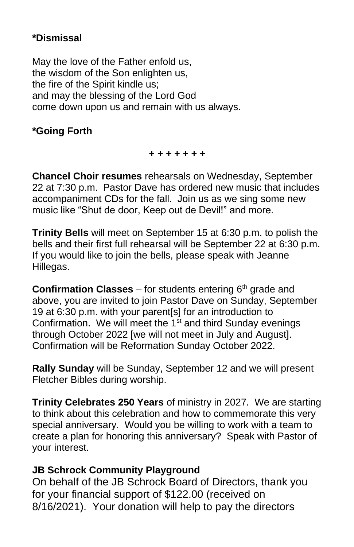# **\*Dismissal**

May the love of the Father enfold us, the wisdom of the Son enlighten us, the fire of the Spirit kindle us; and may the blessing of the Lord God come down upon us and remain with us always.

# **\*Going Forth**

*+ + + + + + +*

**Chancel Choir resumes** rehearsals on Wednesday, September 22 at 7:30 p.m. Pastor Dave has ordered new music that includes accompaniment CDs for the fall. Join us as we sing some new music like "Shut de door, Keep out de Devil!" and more.

**Trinity Bells** will meet on September 15 at 6:30 p.m. to polish the bells and their first full rehearsal will be September 22 at 6:30 p.m. If you would like to join the bells, please speak with Jeanne Hillegas.

**Confirmation Classes** – for students entering 6<sup>th</sup> grade and above, you are invited to join Pastor Dave on Sunday, September 19 at 6:30 p.m. with your parent[s] for an introduction to Confirmation. We will meet the 1<sup>st</sup> and third Sunday evenings through October 2022 [we will not meet in July and August]. Confirmation will be Reformation Sunday October 2022.

**Rally Sunday** will be Sunday, September 12 and we will present Fletcher Bibles during worship.

**Trinity Celebrates 250 Years** of ministry in 2027. We are starting to think about this celebration and how to commemorate this very special anniversary. Would you be willing to work with a team to create a plan for honoring this anniversary? Speak with Pastor of your interest.

# **JB Schrock Community Playground**

On behalf of the JB Schrock Board of Directors, thank you for your financial support of \$122.00 (received on 8/16/2021). Your donation will help to pay the directors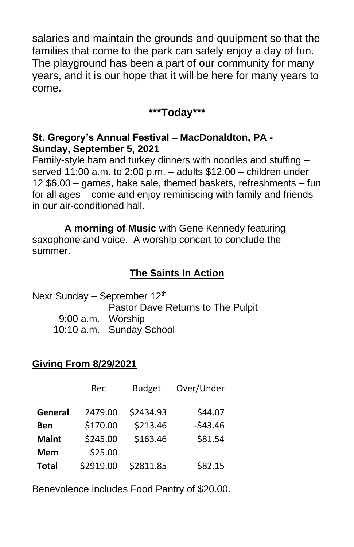salaries and maintain the grounds and quuipment so that the families that come to the park can safely enjoy a day of fun. The playground has been a part of our community for many years, and it is our hope that it will be here for many years to come.

# **\*\*\*Today\*\*\***

### **St. Gregory's Annual Festival – MacDonaldton, PA - Sunday, September 5, 2021**

Family-style ham and turkey dinners with noodles and stuffing – served 11:00 a.m. to 2:00 p.m. – adults \$12.00 – children under 12 \$6.00 – games, bake sale, themed baskets, refreshments – fun for all ages – come and enjoy reminiscing with family and friends in our air-conditioned hall.

**A morning of Music** with Gene Kennedy featuring saxophone and voice. A worship concert to conclude the summer.

# **The Saints In Action**

Next Sunday – September 12<sup>th</sup> Pastor Dave Returns to The Pulpit 9:00 a.m. Worship 10:10 a.m. Sunday School

# **Giving From 8/29/2021**

|              | Rec       | <b>Budget</b> | Over/Under |
|--------------|-----------|---------------|------------|
| General      | 2479.00   | \$2434.93     | \$44.07    |
| Ben          | \$170.00  | \$213.46      | $-543.46$  |
| <b>Maint</b> | \$245.00  | \$163.46      | \$81.54    |
| <b>Mem</b>   | \$25.00   |               |            |
| <b>Total</b> | \$2919.00 | \$2811.85     | \$82.15    |

Benevolence includes Food Pantry of \$20.00.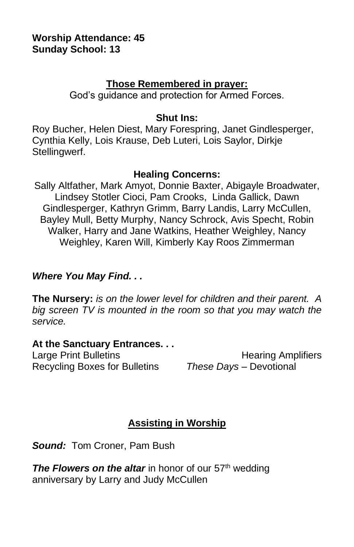#### **Worship Attendance: 45 Sunday School: 13**

#### **Those Remembered in prayer:**

God's guidance and protection for Armed Forces.

#### **Shut Ins:**

Roy Bucher, Helen Diest, Mary Forespring, Janet Gindlesperger, Cynthia Kelly, Lois Krause, Deb Luteri, Lois Saylor, Dirkje Stellingwerf.

#### **Healing Concerns:**

Sally Altfather, Mark Amyot, Donnie Baxter, Abigayle Broadwater, Lindsey Stotler Cioci, Pam Crooks, Linda Gallick, Dawn Gindlesperger, Kathryn Grimm, Barry Landis, Larry McCullen, Bayley Mull, Betty Murphy, Nancy Schrock, Avis Specht, Robin Walker, Harry and Jane Watkins, Heather Weighley, Nancy Weighley, Karen Will, Kimberly Kay Roos Zimmerman

### *Where You May Find. . .*

**The Nursery:** *is on the lower level for children and their parent. A big screen TV is mounted in the room so that you may watch the service.*

#### **At the Sanctuary Entrances. . .**

Recycling Boxes for Bulletins *These Days –* Devotional

Large Print Bulletins **Example 20** Hearing Amplifiers

# **Assisting in Worship**

*Sound:* Tom Croner, Pam Bush

*The Flowers on the altar* in honor of our 57<sup>th</sup> wedding anniversary by Larry and Judy McCullen